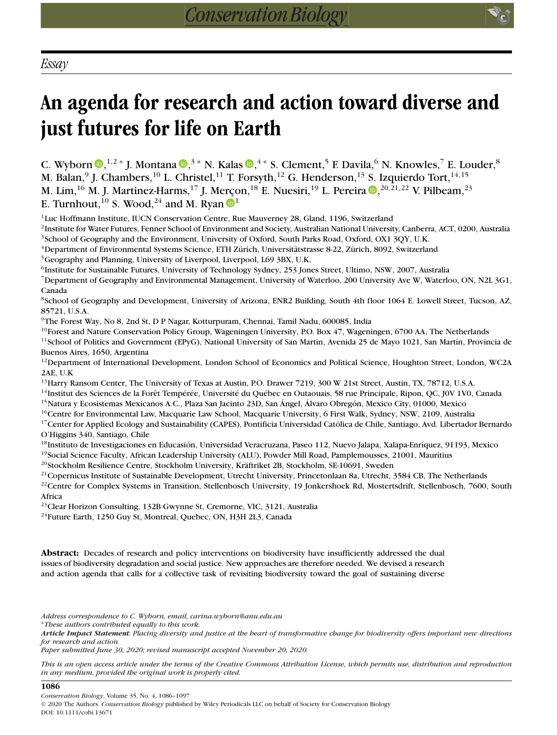# **An agenda for research and action toward diverse and just futures for life on Earth**

C. Wyborn  $\mathbb{D}$ [,](https://orcid.org/0000-0003-2626-4293)<sup>1,2</sup> \* J. Montana  $\mathbb{D}$ ,<sup>3</sup> \* N. Kalas  $\mathbb{D}$ ,<sup>4</sup> \* S. Clement,<sup>5</sup> F. Davila,<sup>6</sup> N. Knowles,<sup>7</sup> E. Louder,<sup>8</sup> M. Balan,<sup>9</sup> J. Chambers,<sup>10</sup> L. Christel,<sup>11</sup> T. Forsyth,<sup>12</sup> G. Henderson,<sup>13</sup> S. Izquierdo Tort,<sup>14,15</sup> M. Lim[,](https://orcid.org/0000-0002-4996-7234) $^{16}$  M. J. Martinez-Harms, $^{17}$  J. Merçon, $^{18}$  E. Nuesiri, $^{19}$  L. Pereira  $\textcolor{red}{\bullet}$ , $^{20,21,22}$  V. Pilbeam, $^{23}$ E. Turnhout,<sup>[1](https://orcid.org/0000-0002-3177-5402)0</sup> S. Wood,<sup>24</sup> and M. Ryan  $\bullet$ <sup>1</sup>

<sup>1</sup>Luc Hoffmann Institute, IUCN Conservation Centre, Rue Mauverney 28, Gland, 1196, Switzerland

2Institute for Water Futures, Fenner School of Environment and Society, Australian National University, Canberra, ACT, 0200, Australia <sup>3</sup>School of Geography and the Environment, University of Oxford, South Parks Road, Oxford, OX1 3QY, U.K.

4Department of Environmental Systems Science, ETH Zürich, Universitätstrasse 8-22, Zürich, 8092, Switzerland

<sup>5</sup>Geography and Planning, University of Liverpool, Liverpool, L69 3BX, U.K.

<sup>6</sup>Institute for Sustainable Futures, University of Technology Sydney, 253 Jones Street, Ultimo, NSW, 2007, Australia

7Department of Geography and Environmental Management, University of Waterloo, 200 University Ave W, Waterloo, ON, N2L 3G1, Canada

8School of Geography and Development, University of Arizona, ENR2 Building, South 4th floor 1064 E. Lowell Street, Tucson, AZ, 85721, U.S.A.

9The Forest Way, No 8, 2nd St, D P Nagar, Kotturpuram, Chennai, Tamil Nadu, 600085, India

<sup>10</sup>Forest and Nature Conservation Policy Group, Wageningen University, P.O. Box 47, Wageningen, 6700 AA, The Netherlands

<sup>11</sup>School of Politics and Government (EPyG), National University of San Martin, Avenida 25 de Mayo 1021, San Martín, Provincia de Buenos Aires, 1650, Argentina

 $12$ Department of International Development, London School of Economics and Political Science, Houghton Street, London, WC2A 2AE, U.K

<sup>13</sup>Harry Ransom Center, The University of Texas at Austin, P.O. Drawer 7219, 300 W 21st Street, Austin, TX, 78712, U.S.A.

<sup>14</sup>Institut des Sciences de la Forêt Tempérée, Université du Québec en Outaouais, 58 rue Principale, Ripon, QC, J0V 1V0, Canada 15Natura y Ecosistemas Mexicanos A.C., Plaza San Jacinto 23D, San Ángel, Álvaro Obregón, Mexico City, 01000, Mexico

<sup>16</sup>Centre for Environmental Law, Macquarie Law School, Macquarie University, 6 First Walk, Sydney, NSW, 2109, Australia

<sup>17</sup>Center for Applied Ecology and Sustainability (CAPES), Pontificia Universidad Católica de Chile, Santiago, Avd. Libertador Bernardo O'Higgins 340, Santiago, Chile

<sup>18</sup>Instituto de Investigaciones en Educasión, Universidad Veracruzana, Paseo 112, Nuevo Jalapa, Xalapa-Enríquez, 91193, Mexico <sup>19</sup>Social Science Faculty, African Leadership University (ALU), Powder Mill Road, Pamplemousses, 21001, Mauritius

20Stockholm Resilience Centre, Stockholm University, Kräftriket 2B, Stockholm, SE-10691, Sweden

 $21$ Copernicus Institute of Sustainable Development, Utrecht University, Princetonlaan 8a, Utrecht, 3584 CB, The Netherlands  $^{22}$ Centre for Complex Systems in Transition, Stellenbosch University, 19 Jonkershoek Rd, Mostertsdrift, Stellenbosch, 7600, South Africa

<sup>23</sup> Clear Horizon Consulting, 132B Gwynne St, Cremorne, VIC, 3121, Australia

<sup>24</sup>Future Earth, 1250 Guy St, Montreal, Quebec, ON, H3H 2L3, Canada

**Abstract:** Decades of research and policy interventions on biodiversity have insufficiently addressed the dual issues of biodiversity degradation and social justice. New approaches are therefore needed. We devised a research and action agenda that calls for a collective task of revisiting biodiversity toward the goal of sustaining diverse

*Address correspondence to C. Wyborn, email, carina.wyborn@anu.edu.au*

∗*These authors contributed equally to this work.*

*Article Impact Statement: Placing diversity and justice at the heart of transformative change for biodiversity offers important new directions for research and action.*

*Paper submitted June 30, 2020; revised manuscript accepted November 20, 2020.*

*This is an open access article under the terms of the [Creative Commons Attribution](http://creativecommons.org/licenses/by/4.0/) License, which permits use, distribution and reproduction in any medium, provided the original work is properly cited.*

#### **1086**

© 2020 The Authors. *Conservation Biology* published by Wiley Periodicals LLC on behalf of Society for Conservation Biology DOI: 10.1111/cobi.13671

*Conservation Biology*, Volume 35, No. 4, 1086–1097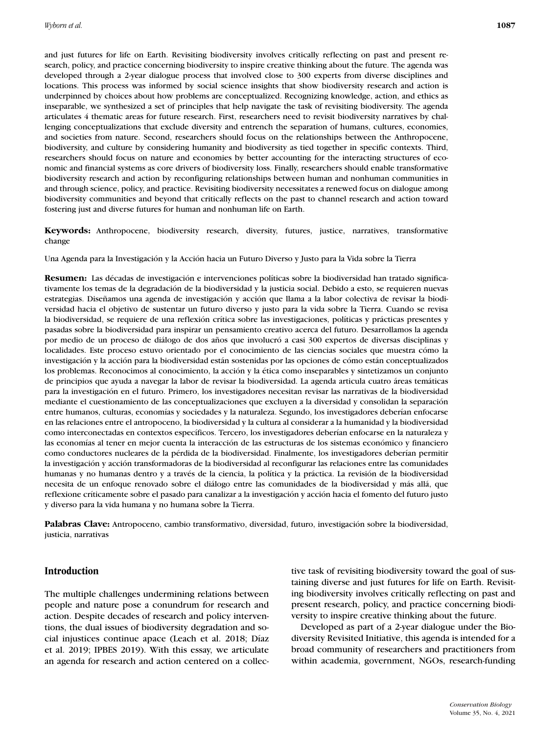and just futures for life on Earth. Revisiting biodiversity involves critically reflecting on past and present research, policy, and practice concerning biodiversity to inspire creative thinking about the future. The agenda was developed through a 2-year dialogue process that involved close to 300 experts from diverse disciplines and locations. This process was informed by social science insights that show biodiversity research and action is underpinned by choices about how problems are conceptualized. Recognizing knowledge, action, and ethics as inseparable, we synthesized a set of principles that help navigate the task of revisiting biodiversity. The agenda articulates 4 thematic areas for future research. First, researchers need to revisit biodiversity narratives by challenging conceptualizations that exclude diversity and entrench the separation of humans, cultures, economies, and societies from nature. Second, researchers should focus on the relationships between the Anthropocene, biodiversity, and culture by considering humanity and biodiversity as tied together in specific contexts. Third, researchers should focus on nature and economies by better accounting for the interacting structures of economic and financial systems as core drivers of biodiversity loss. Finally, researchers should enable transformative biodiversity research and action by reconfiguring relationships between human and nonhuman communities in and through science, policy, and practice. Revisiting biodiversity necessitates a renewed focus on dialogue among biodiversity communities and beyond that critically reflects on the past to channel research and action toward fostering just and diverse futures for human and nonhuman life on Earth.

**Keywords:** Anthropocene, biodiversity research, diversity, futures, justice, narratives, transformative change

Una Agenda para la Investigación y la Acción hacia un Futuro Diverso y Justo para la Vida sobre la Tierra

**Resumen:** Las décadas de investigación e intervenciones políticas sobre la biodiversidad han tratado significativamente los temas de la degradación de la biodiversidad y la justicia social. Debido a esto, se requieren nuevas estrategias. Diseñamos una agenda de investigación y acción que llama a la labor colectiva de revisar la biodiversidad hacia el objetivo de sustentar un futuro diverso y justo para la vida sobre la Tierra. Cuando se revisa la biodiversidad, se requiere de una reflexión crítica sobre las investigaciones, políticas y prácticas presentes y pasadas sobre la biodiversidad para inspirar un pensamiento creativo acerca del futuro. Desarrollamos la agenda por medio de un proceso de diálogo de dos años que involucró a casi 300 expertos de diversas disciplinas y localidades. Este proceso estuvo orientado por el conocimiento de las ciencias sociales que muestra cómo la investigación y la acción para la biodiversidad están sostenidas por las opciones de cómo están conceptualizados los problemas. Reconocimos al conocimiento, la acción y la ética como inseparables y sintetizamos un conjunto de principios que ayuda a navegar la labor de revisar la biodiversidad. La agenda articula cuatro áreas temáticas para la investigación en el futuro. Primero, los investigadores necesitan revisar las narrativas de la biodiversidad mediante el cuestionamiento de las conceptualizaciones que excluyen a la diversidad y consolidan la separación entre humanos, culturas, economías y sociedades y la naturaleza. Segundo, los investigadores deberían enfocarse en las relaciones entre el antropoceno, la biodiversidad y la cultura al considerar a la humanidad y la biodiversidad como interconectadas en contextos específicos. Tercero, los investigadores deberían enfocarse en la naturaleza y las economías al tener en mejor cuenta la interacción de las estructuras de los sistemas económico y financiero como conductores nucleares de la pérdida de la biodiversidad. Finalmente, los investigadores deberían permitir la investigación y acción transformadoras de la biodiversidad al reconfigurar las relaciones entre las comunidades humanas y no humanas dentro y a través de la ciencia, la política y la práctica. La revisión de la biodiversidad necesita de un enfoque renovado sobre el diálogo entre las comunidades de la biodiversidad y más allá, que reflexione críticamente sobre el pasado para canalizar a la investigación y acción hacia el fomento del futuro justo y diverso para la vida humana y no humana sobre la Tierra.

**Palabras Clave:** Antropoceno, cambio transformativo, diversidad, futuro, investigación sobre la biodiversidad, justicia, narrativas

## **Introduction**

The multiple challenges undermining relations between people and nature pose a conundrum for research and action. Despite decades of research and policy interventions, the dual issues of biodiversity degradation and social injustices continue apace (Leach et al. 2018; Díaz et al. 2019; IPBES 2019). With this essay, we articulate an agenda for research and action centered on a collective task of revisiting biodiversity toward the goal of sustaining diverse and just futures for life on Earth. Revisiting biodiversity involves critically reflecting on past and present research, policy, and practice concerning biodiversity to inspire creative thinking about the future.

Developed as part of a 2-year dialogue under the Biodiversity Revisited Initiative, this agenda is intended for a broad community of researchers and practitioners from within academia, government, NGOs, research-funding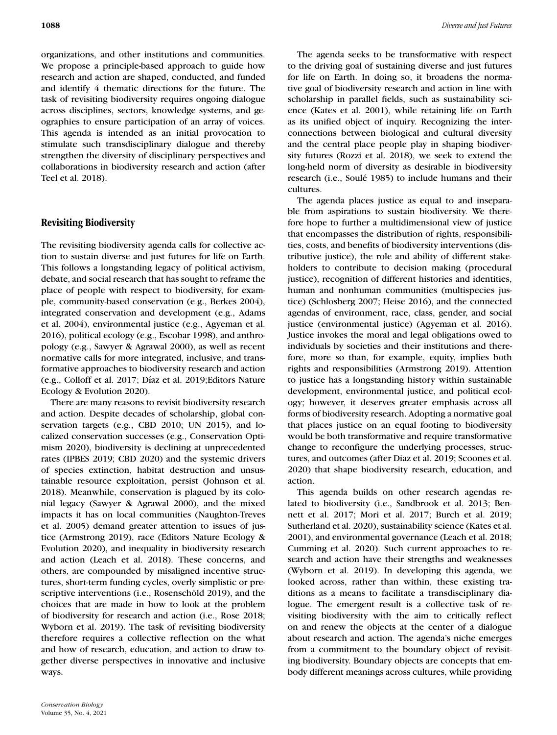organizations, and other institutions and communities. We propose a principle-based approach to guide how research and action are shaped, conducted, and funded and identify 4 thematic directions for the future. The task of revisiting biodiversity requires ongoing dialogue across disciplines, sectors, knowledge systems, and geographies to ensure participation of an array of voices. This agenda is intended as an initial provocation to stimulate such transdisciplinary dialogue and thereby strengthen the diversity of disciplinary perspectives and collaborations in biodiversity research and action (after Teel et al. 2018).

# **Revisiting Biodiversity**

The revisiting biodiversity agenda calls for collective action to sustain diverse and just futures for life on Earth. This follows a longstanding legacy of political activism, debate, and social research that has sought to reframe the place of people with respect to biodiversity, for example, community-based conservation (e.g., Berkes 2004), integrated conservation and development (e.g., Adams et al. 2004), environmental justice (e.g., Agyeman et al. 2016), political ecology (e.g., Escobar 1998), and anthropology (e.g., Sawyer & Agrawal 2000), as well as recent normative calls for more integrated, inclusive, and transformative approaches to biodiversity research and action (e.g., Colloff et al. 2017; Díaz et al. 2019;Editors Nature Ecology & Evolution 2020).

There are many reasons to revisit biodiversity research and action. Despite decades of scholarship, global conservation targets (e.g., CBD 2010; UN 2015), and localized conservation successes (e.g., Conservation Optimism 2020), biodiversity is declining at unprecedented rates (IPBES 2019; CBD 2020) and the systemic drivers of species extinction, habitat destruction and unsustainable resource exploitation, persist (Johnson et al. 2018). Meanwhile, conservation is plagued by its colonial legacy (Sawyer & Agrawal 2000), and the mixed impacts it has on local communities (Naughton-Treves et al. 2005) demand greater attention to issues of justice (Armstrong 2019), race (Editors Nature Ecology & Evolution 2020), and inequality in biodiversity research and action (Leach et al. 2018). These concerns, and others, are compounded by misaligned incentive structures, short-term funding cycles, overly simplistic or prescriptive interventions (i.e., Rosenschöld 2019), and the choices that are made in how to look at the problem of biodiversity for research and action (i.e., Rose 2018; Wyborn et al. 2019). The task of revisiting biodiversity therefore requires a collective reflection on the what and how of research, education, and action to draw together diverse perspectives in innovative and inclusive ways.

The agenda seeks to be transformative with respect to the driving goal of sustaining diverse and just futures for life on Earth. In doing so, it broadens the normative goal of biodiversity research and action in line with scholarship in parallel fields, such as sustainability science (Kates et al. 2001), while retaining life on Earth as its unified object of inquiry. Recognizing the interconnections between biological and cultural diversity and the central place people play in shaping biodiversity futures (Rozzi et al. 2018), we seek to extend the long-held norm of diversity as desirable in biodiversity research (i.e., Soulé 1985) to include humans and their cultures.

The agenda places justice as equal to and inseparable from aspirations to sustain biodiversity. We therefore hope to further a multidimensional view of justice that encompasses the distribution of rights, responsibilities, costs, and benefits of biodiversity interventions (distributive justice), the role and ability of different stakeholders to contribute to decision making (procedural justice), recognition of different histories and identities, human and nonhuman communities (multispecies justice) (Schlosberg 2007; Heise 2016), and the connected agendas of environment, race, class, gender, and social justice (environmental justice) (Agyeman et al. 2016). Justice invokes the moral and legal obligations owed to individuals by societies and their institutions and therefore, more so than, for example, equity, implies both rights and responsibilities (Armstrong 2019). Attention to justice has a longstanding history within sustainable development, environmental justice, and political ecology; however, it deserves greater emphasis across all forms of biodiversity research. Adopting a normative goal that places justice on an equal footing to biodiversity would be both transformative and require transformative change to reconfigure the underlying processes, structures, and outcomes (after Diaz et al. 2019; Scoones et al. 2020) that shape biodiversity research, education, and action.

This agenda builds on other research agendas related to biodiversity (i.e., Sandbrook et al. 2013; Bennett et al. 2017; Mori et al. 2017; Burch et al. 2019; Sutherland et al. 2020), sustainability science (Kates et al. 2001), and environmental governance (Leach et al. 2018; Cumming et al. 2020). Such current approaches to research and action have their strengths and weaknesses (Wyborn et al. 2019). In developing this agenda, we looked across, rather than within, these existing traditions as a means to facilitate a transdisciplinary dialogue. The emergent result is a collective task of revisiting biodiversity with the aim to critically reflect on and renew the objects at the center of a dialogue about research and action. The agenda's niche emerges from a commitment to the boundary object of revisiting biodiversity. Boundary objects are concepts that embody different meanings across cultures, while providing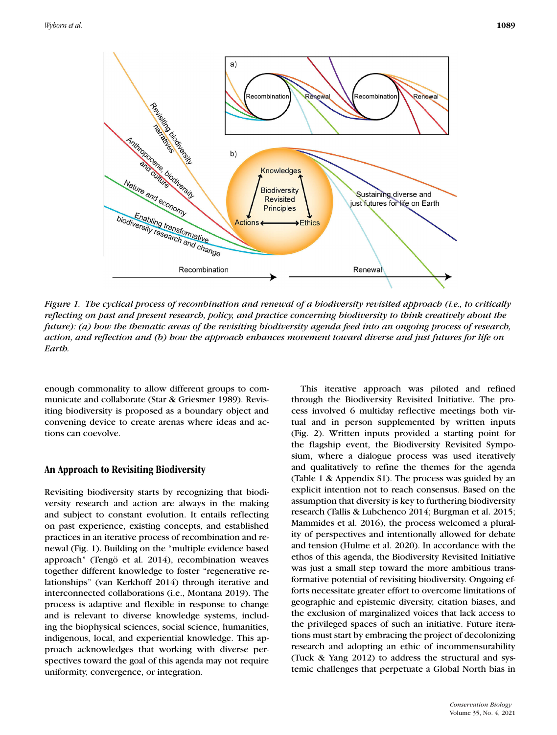

*Figure 1. The cyclical process of recombination and renewal of a biodiversity revisited approach (i.e., to critically reflecting on past and present research, policy, and practice concerning biodiversity to think creatively about the future): (a) how the thematic areas of the revisiting biodiversity agenda feed into an ongoing process of research, action, and reflection and (b) how the approach enhances movement toward diverse and just futures for life on Earth.*

enough commonality to allow different groups to communicate and collaborate (Star & Griesmer 1989). Revisiting biodiversity is proposed as a boundary object and convening device to create arenas where ideas and actions can coevolve.

## **An Approach to Revisiting Biodiversity**

Revisiting biodiversity starts by recognizing that biodiversity research and action are always in the making and subject to constant evolution. It entails reflecting on past experience, existing concepts, and established practices in an iterative process of recombination and renewal (Fig. 1). Building on the "multiple evidence based approach" (Tengö et al. 2014), recombination weaves together different knowledge to foster "regenerative relationships" (van Kerkhoff 2014) through iterative and interconnected collaborations (i.e., Montana 2019). The process is adaptive and flexible in response to change and is relevant to diverse knowledge systems, including the biophysical sciences, social science, humanities, indigenous, local, and experiential knowledge. This approach acknowledges that working with diverse perspectives toward the goal of this agenda may not require uniformity, convergence, or integration.

This iterative approach was piloted and refined through the Biodiversity Revisited Initiative. The process involved 6 multiday reflective meetings both virtual and in person supplemented by written inputs (Fig. 2). Written inputs provided a starting point for the flagship event, the Biodiversity Revisited Symposium, where a dialogue process was used iteratively and qualitatively to refine the themes for the agenda (Table 1 & Appendix S1). The process was guided by an explicit intention not to reach consensus. Based on the assumption that diversity is key to furthering biodiversity research (Tallis & Lubchenco 2014; Burgman et al. 2015; Mammides et al. 2016), the process welcomed a plurality of perspectives and intentionally allowed for debate and tension (Hulme et al. 2020). In accordance with the ethos of this agenda, the Biodiversity Revisited Initiative was just a small step toward the more ambitious transformative potential of revisiting biodiversity. Ongoing efforts necessitate greater effort to overcome limitations of geographic and epistemic diversity, citation biases, and the exclusion of marginalized voices that lack access to the privileged spaces of such an initiative. Future iterations must start by embracing the project of decolonizing research and adopting an ethic of incommensurability (Tuck & Yang 2012) to address the structural and systemic challenges that perpetuate a Global North bias in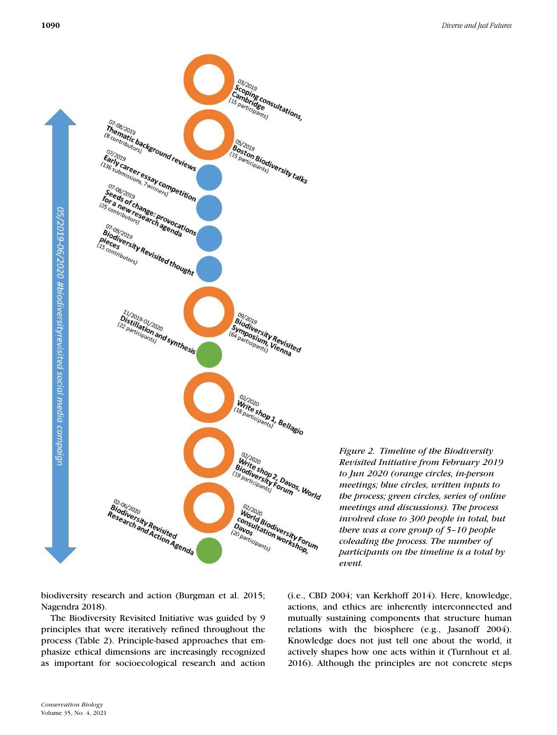

*Figure 2. Timeline of the Biodiversity Revisited Initiative from February 2019 to Jun 2020 (orange circles, in-person meetings; blue circles, written inputs to the process; green circles, series of online meetings and discussions). The process involved close to 300 people in total, but there was a core group of 5–10 people coleading the process. The number of participants on the timeline is a total by event.*

biodiversity research and action (Burgman et al. 2015; Nagendra 2018).

The Biodiversity Revisited Initiative was guided by 9 principles that were iteratively refined throughout the process (Table 2). Principle-based approaches that emphasize ethical dimensions are increasingly recognized as important for socioecological research and action

(i.e., CBD 2004; van Kerkhoff 2014). Here, knowledge, actions, and ethics are inherently interconnected and mutually sustaining components that structure human relations with the biosphere (e.g., Jasanoff 2004). Knowledge does not just tell one about the world, it actively shapes how one acts within it (Turnhout et al. 2016). Although the principles are not concrete steps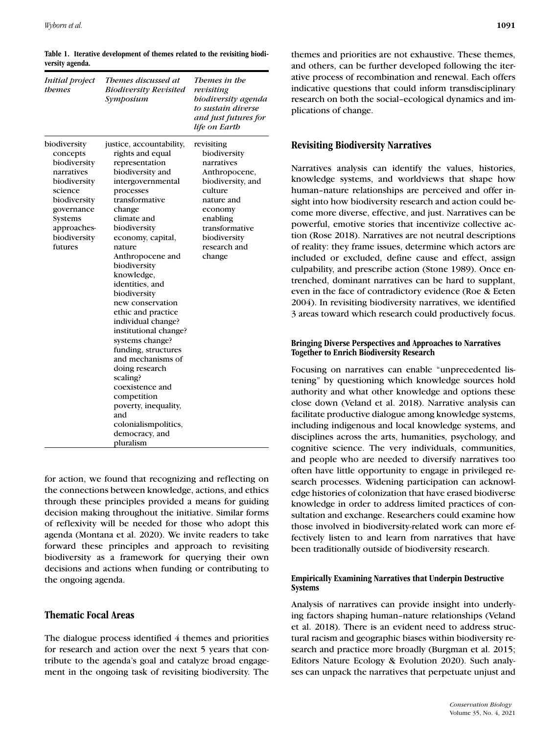| <i>Initial project</i><br>themes                                                                                                                                     | Themes discussed at<br><b>Biodiversity Revisited</b><br>Symposium                                                                                                                                                                                                                                                                                                                                                                                                                                                                                                                                    | Themes in the<br>revisiting<br>biodiversity agenda<br>to sustain diverse<br>and just futures for<br>life on Earth                                                                          |
|----------------------------------------------------------------------------------------------------------------------------------------------------------------------|------------------------------------------------------------------------------------------------------------------------------------------------------------------------------------------------------------------------------------------------------------------------------------------------------------------------------------------------------------------------------------------------------------------------------------------------------------------------------------------------------------------------------------------------------------------------------------------------------|--------------------------------------------------------------------------------------------------------------------------------------------------------------------------------------------|
| biodiversity<br>concepts<br>biodiversity<br>narratives<br>biodiversity<br>science<br>biodiversity<br>governance<br>Systems<br>approaches-<br>biodiversity<br>futures | justice, accountability,<br>rights and equal<br>representation<br>biodiversity and<br>intergovernmental<br>processes<br>transformative<br>change<br>climate and<br>biodiversity<br>economy, capital,<br>nature<br>Anthropocene and<br>biodiversity<br>knowledge,<br>identities, and<br>biodiversity<br>new conservation<br>ethic and practice<br>individual change?<br>institutional change?<br>systems change?<br>funding, structures<br>and mechanisms of<br>doing research<br>scaling?<br>coexistence and<br>competition<br>poverty, inequality,<br>and<br>colonialismpolitics,<br>democracy, and | revisiting<br>biodiversity<br>narratives<br>Anthropocene,<br>biodiversity, and<br>culture<br>nature and<br>economy<br>enabling<br>transformative<br>biodiversity<br>research and<br>change |

**Table 1. Iterative development of themes related to the revisiting biodiversity agenda.**

for action, we found that recognizing and reflecting on the connections between knowledge, actions, and ethics through these principles provided a means for guiding decision making throughout the initiative. Similar forms of reflexivity will be needed for those who adopt this agenda (Montana et al. 2020). We invite readers to take forward these principles and approach to revisiting biodiversity as a framework for querying their own decisions and actions when funding or contributing to the ongoing agenda.

## **Thematic Focal Areas**

The dialogue process identified 4 themes and priorities for research and action over the next 5 years that contribute to the agenda's goal and catalyze broad engagement in the ongoing task of revisiting biodiversity. The

themes and priorities are not exhaustive. These themes, and others, can be further developed following the iterative process of recombination and renewal. Each offers indicative questions that could inform transdisciplinary research on both the social–ecological dynamics and implications of change.

## **Revisiting Biodiversity Narratives**

Narratives analysis can identify the values, histories, knowledge systems, and worldviews that shape how human–nature relationships are perceived and offer insight into how biodiversity research and action could become more diverse, effective, and just. Narratives can be powerful, emotive stories that incentivize collective action (Rose 2018). Narratives are not neutral descriptions of reality: they frame issues, determine which actors are included or excluded, define cause and effect, assign culpability, and prescribe action (Stone 1989). Once entrenched, dominant narratives can be hard to supplant, even in the face of contradictory evidence (Roe & Eeten 2004). In revisiting biodiversity narratives, we identified 3 areas toward which research could productively focus.

### **Bringing Diverse Perspectives and Approaches to Narratives Together to Enrich Biodiversity Research**

Focusing on narratives can enable "unprecedented listening" by questioning which knowledge sources hold authority and what other knowledge and options these close down (Veland et al. 2018). Narrative analysis can facilitate productive dialogue among knowledge systems, including indigenous and local knowledge systems, and disciplines across the arts, humanities, psychology, and cognitive science. The very individuals, communities, and people who are needed to diversify narratives too often have little opportunity to engage in privileged research processes. Widening participation can acknowledge histories of colonization that have erased biodiverse knowledge in order to address limited practices of consultation and exchange. Researchers could examine how those involved in biodiversity-related work can more effectively listen to and learn from narratives that have been traditionally outside of biodiversity research.

### **Empirically Examining Narratives that Underpin Destructive Systems**

Analysis of narratives can provide insight into underlying factors shaping human–nature relationships (Veland et al. 2018). There is an evident need to address structural racism and geographic biases within biodiversity research and practice more broadly (Burgman et al. 2015; Editors Nature Ecology & Evolution 2020). Such analyses can unpack the narratives that perpetuate unjust and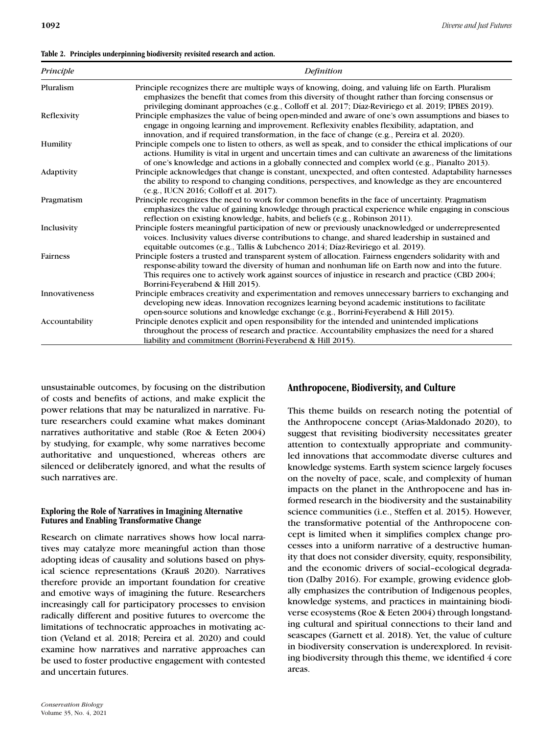| Principle      | Definition                                                                                                                                                                                                                                                                                                                                                |
|----------------|-----------------------------------------------------------------------------------------------------------------------------------------------------------------------------------------------------------------------------------------------------------------------------------------------------------------------------------------------------------|
| Pluralism      | Principle recognizes there are multiple ways of knowing, doing, and valuing life on Earth. Pluralism<br>emphasizes the benefit that comes from this diversity of thought rather than forcing consensus or<br>privileging dominant approaches (e.g., Colloff et al. 2017; Díaz-Reviriego et al. 2019; IPBES 2019).                                         |
| Reflexivity    | Principle emphasizes the value of being open-minded and aware of one's own assumptions and biases to<br>engage in ongoing learning and improvement. Reflexivity enables flexibility, adaptation, and<br>innovation, and if required transformation, in the face of change (e.g., Pereira et al. 2020).                                                    |
| Humility       | Principle compels one to listen to others, as well as speak, and to consider the ethical implications of our<br>actions. Humility is vital in urgent and uncertain times and can cultivate an awareness of the limitations<br>of one's knowledge and actions in a globally connected and complex world (e.g., Pianalto 2013).                             |
| Adaptivity     | Principle acknowledges that change is constant, unexpected, and often contested. Adaptability harnesses<br>the ability to respond to changing conditions, perspectives, and knowledge as they are encountered<br>(e.g., IUCN 2016; Colloff et al. 2017).                                                                                                  |
| Pragmatism     | Principle recognizes the need to work for common benefits in the face of uncertainty. Pragmatism<br>emphasizes the value of gaining knowledge through practical experience while engaging in conscious<br>reflection on existing knowledge, habits, and beliefs (e.g., Robinson 2011).                                                                    |
| Inclusivity    | Principle fosters meaningful participation of new or previously unacknowledged or underrepresented<br>voices. Inclusivity values diverse contributions to change, and shared leadership in sustained and<br>equitable outcomes (e.g., Tallis & Lubchenco 2014; Díaz-Reviriego et al. 2019).                                                               |
| Fairness       | Principle fosters a trusted and transparent system of allocation. Fairness engenders solidarity with and<br>response-ability toward the diversity of human and nonhuman life on Earth now and into the future.<br>This requires one to actively work against sources of injustice in research and practice (CBD 2004;<br>Borrini-Feyerabend & Hill 2015). |
| Innovativeness | Principle embraces creativity and experimentation and removes unnecessary barriers to exchanging and<br>developing new ideas. Innovation recognizes learning beyond academic institutions to facilitate<br>open-source solutions and knowledge exchange (e.g., Borrini-Feyerabend & Hill 2015).                                                           |
| Accountability | Principle denotes explicit and open responsibility for the intended and unintended implications<br>throughout the process of research and practice. Accountability emphasizes the need for a shared<br>liability and commitment (Borrini-Feverabend & Hill 2015).                                                                                         |

unsustainable outcomes, by focusing on the distribution of costs and benefits of actions, and make explicit the power relations that may be naturalized in narrative. Future researchers could examine what makes dominant narratives authoritative and stable (Roe & Eeten 2004) by studying, for example, why some narratives become authoritative and unquestioned, whereas others are silenced or deliberately ignored, and what the results of such narratives are.

## **Exploring the Role of Narratives in Imagining Alternative Futures and Enabling Transformative Change**

Research on climate narratives shows how local narratives may catalyze more meaningful action than those adopting ideas of causality and solutions based on physical science representations (Krauß 2020). Narratives therefore provide an important foundation for creative and emotive ways of imagining the future. Researchers increasingly call for participatory processes to envision radically different and positive futures to overcome the limitations of technocratic approaches in motivating action (Veland et al. 2018; Pereira et al. 2020) and could examine how narratives and narrative approaches can be used to foster productive engagement with contested and uncertain futures.

# **Anthropocene, Biodiversity, and Culture**

This theme builds on research noting the potential of the Anthropocene concept (Arias-Maldonado 2020), to suggest that revisiting biodiversity necessitates greater attention to contextually appropriate and communityled innovations that accommodate diverse cultures and knowledge systems. Earth system science largely focuses on the novelty of pace, scale, and complexity of human impacts on the planet in the Anthropocene and has informed research in the biodiversity and the sustainability science communities (i.e., Steffen et al. 2015). However, the transformative potential of the Anthropocene concept is limited when it simplifies complex change processes into a uniform narrative of a destructive humanity that does not consider diversity, equity, responsibility, and the economic drivers of social–ecological degradation (Dalby 2016). For example, growing evidence globally emphasizes the contribution of Indigenous peoples, knowledge systems, and practices in maintaining biodiverse ecosystems (Roe & Eeten 2004) through longstanding cultural and spiritual connections to their land and seascapes (Garnett et al. 2018). Yet, the value of culture in biodiversity conservation is underexplored. In revisiting biodiversity through this theme, we identified 4 core areas.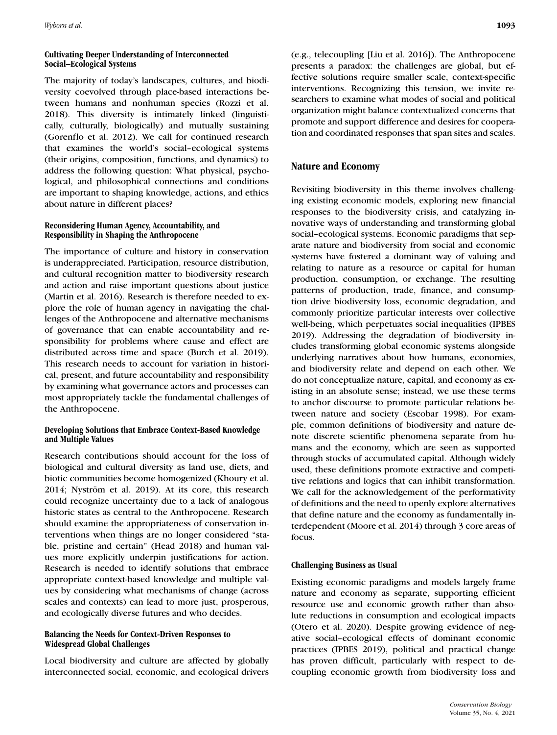### **Cultivating Deeper Understanding of Interconnected Social–Ecological Systems**

The majority of today's landscapes, cultures, and biodiversity coevolved through place-based interactions between humans and nonhuman species (Rozzi et al. 2018). This diversity is intimately linked (linguistically, culturally, biologically) and mutually sustaining (Gorenflo et al. 2012). We call for continued research that examines the world's social–ecological systems (their origins, composition, functions, and dynamics) to address the following question: What physical, psychological, and philosophical connections and conditions are important to shaping knowledge, actions, and ethics about nature in different places?

## **Reconsidering Human Agency, Accountability, and Responsibility in Shaping the Anthropocene**

The importance of culture and history in conservation is underappreciated. Participation, resource distribution, and cultural recognition matter to biodiversity research and action and raise important questions about justice (Martin et al. 2016). Research is therefore needed to explore the role of human agency in navigating the challenges of the Anthropocene and alternative mechanisms of governance that can enable accountability and responsibility for problems where cause and effect are distributed across time and space (Burch et al. 2019). This research needs to account for variation in historical, present, and future accountability and responsibility by examining what governance actors and processes can most appropriately tackle the fundamental challenges of the Anthropocene.

## **Developing Solutions that Embrace Context-Based Knowledge and Multiple Values**

Research contributions should account for the loss of biological and cultural diversity as land use, diets, and biotic communities become homogenized (Khoury et al. 2014; Nyström et al. 2019). At its core, this research could recognize uncertainty due to a lack of analogous historic states as central to the Anthropocene. Research should examine the appropriateness of conservation interventions when things are no longer considered "stable, pristine and certain" (Head 2018) and human values more explicitly underpin justifications for action. Research is needed to identify solutions that embrace appropriate context-based knowledge and multiple values by considering what mechanisms of change (across scales and contexts) can lead to more just, prosperous, and ecologically diverse futures and who decides.

## **Balancing the Needs for Context-Driven Responses to Widespread Global Challenges**

Local biodiversity and culture are affected by globally interconnected social, economic, and ecological drivers (e.g., telecoupling [Liu et al. 2016]). The Anthropocene presents a paradox: the challenges are global, but effective solutions require smaller scale, context-specific interventions. Recognizing this tension, we invite researchers to examine what modes of social and political organization might balance contextualized concerns that promote and support difference and desires for cooperation and coordinated responses that span sites and scales.

# **Nature and Economy**

Revisiting biodiversity in this theme involves challenging existing economic models, exploring new financial responses to the biodiversity crisis, and catalyzing innovative ways of understanding and transforming global social–ecological systems. Economic paradigms that separate nature and biodiversity from social and economic systems have fostered a dominant way of valuing and relating to nature as a resource or capital for human production, consumption, or exchange. The resulting patterns of production, trade, finance, and consumption drive biodiversity loss, economic degradation, and commonly prioritize particular interests over collective well-being, which perpetuates social inequalities (IPBES 2019). Addressing the degradation of biodiversity includes transforming global economic systems alongside underlying narratives about how humans, economies, and biodiversity relate and depend on each other. We do not conceptualize nature, capital, and economy as existing in an absolute sense; instead, we use these terms to anchor discourse to promote particular relations between nature and society (Escobar 1998). For example, common definitions of biodiversity and nature denote discrete scientific phenomena separate from humans and the economy, which are seen as supported through stocks of accumulated capital. Although widely used, these definitions promote extractive and competitive relations and logics that can inhibit transformation. We call for the acknowledgement of the performativity of definitions and the need to openly explore alternatives that define nature and the economy as fundamentally interdependent (Moore et al. 2014) through 3 core areas of focus.

## **Challenging Business as Usual**

Existing economic paradigms and models largely frame nature and economy as separate, supporting efficient resource use and economic growth rather than absolute reductions in consumption and ecological impacts (Otero et al. 2020). Despite growing evidence of negative social–ecological effects of dominant economic practices (IPBES 2019), political and practical change has proven difficult, particularly with respect to decoupling economic growth from biodiversity loss and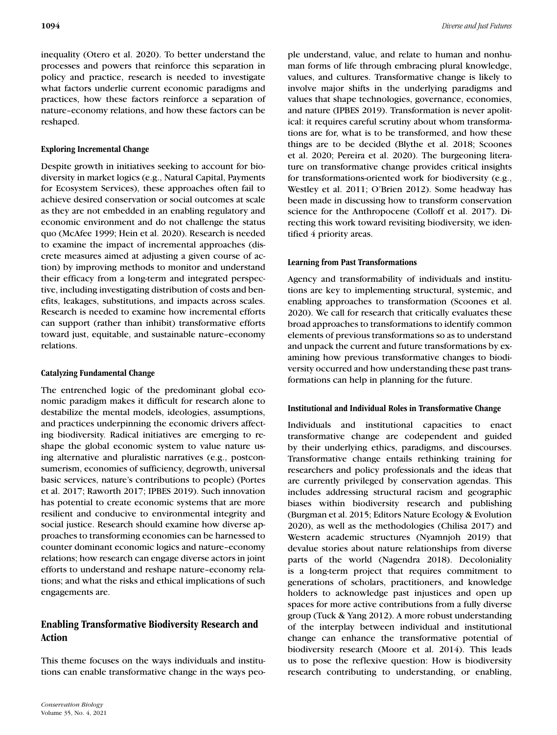inequality (Otero et al. 2020). To better understand the processes and powers that reinforce this separation in policy and practice, research is needed to investigate what factors underlie current economic paradigms and practices, how these factors reinforce a separation of nature–economy relations, and how these factors can be reshaped.

## **Exploring Incremental Change**

Despite growth in initiatives seeking to account for biodiversity in market logics (e.g., Natural Capital, Payments for Ecosystem Services), these approaches often fail to achieve desired conservation or social outcomes at scale as they are not embedded in an enabling regulatory and economic environment and do not challenge the status quo (McAfee 1999; Hein et al. 2020). Research is needed to examine the impact of incremental approaches (discrete measures aimed at adjusting a given course of action) by improving methods to monitor and understand their efficacy from a long-term and integrated perspective, including investigating distribution of costs and benefits, leakages, substitutions, and impacts across scales. Research is needed to examine how incremental efforts can support (rather than inhibit) transformative efforts toward just, equitable, and sustainable nature–economy relations.

## **Catalyzing Fundamental Change**

The entrenched logic of the predominant global economic paradigm makes it difficult for research alone to destabilize the mental models, ideologies, assumptions, and practices underpinning the economic drivers affecting biodiversity. Radical initiatives are emerging to reshape the global economic system to value nature using alternative and pluralistic narratives (e.g., postconsumerism, economies of sufficiency, degrowth, universal basic services, nature's contributions to people) (Portes et al. 2017; Raworth 2017; IPBES 2019). Such innovation has potential to create economic systems that are more resilient and conducive to environmental integrity and social justice. Research should examine how diverse approaches to transforming economies can be harnessed to counter dominant economic logics and nature–economy relations; how research can engage diverse actors in joint efforts to understand and reshape nature–economy relations; and what the risks and ethical implications of such engagements are.

# **Enabling Transformative Biodiversity Research and Action**

This theme focuses on the ways individuals and institutions can enable transformative change in the ways people understand, value, and relate to human and nonhuman forms of life through embracing plural knowledge, values, and cultures. Transformative change is likely to involve major shifts in the underlying paradigms and values that shape technologies, governance, economies, and nature (IPBES 2019). Transformation is never apolitical: it requires careful scrutiny about whom transformations are for, what is to be transformed, and how these things are to be decided (Blythe et al. 2018; Scoones et al. 2020; Pereira et al. 2020). The burgeoning literature on transformative change provides critical insights for transformations-oriented work for biodiversity (e.g., Westley et al. 2011; O'Brien 2012). Some headway has been made in discussing how to transform conservation science for the Anthropocene (Colloff et al. 2017). Directing this work toward revisiting biodiversity, we identified 4 priority areas.

## **Learning from Past Transformations**

Agency and transformability of individuals and institutions are key to implementing structural, systemic, and enabling approaches to transformation (Scoones et al. 2020). We call for research that critically evaluates these broad approaches to transformations to identify common elements of previous transformations so as to understand and unpack the current and future transformations by examining how previous transformative changes to biodiversity occurred and how understanding these past transformations can help in planning for the future.

## **Institutional and Individual Roles in Transformative Change**

Individuals and institutional capacities to enact transformative change are codependent and guided by their underlying ethics, paradigms, and discourses. Transformative change entails rethinking training for researchers and policy professionals and the ideas that are currently privileged by conservation agendas. This includes addressing structural racism and geographic biases within biodiversity research and publishing (Burgman et al. 2015; Editors Nature Ecology & Evolution 2020), as well as the methodologies (Chilisa 2017) and Western academic structures (Nyamnjoh 2019) that devalue stories about nature relationships from diverse parts of the world (Nagendra 2018). Decoloniality is a long-term project that requires commitment to generations of scholars, practitioners, and knowledge holders to acknowledge past injustices and open up spaces for more active contributions from a fully diverse group (Tuck & Yang 2012). A more robust understanding of the interplay between individual and institutional change can enhance the transformative potential of biodiversity research (Moore et al. 2014). This leads us to pose the reflexive question: How is biodiversity research contributing to understanding, or enabling,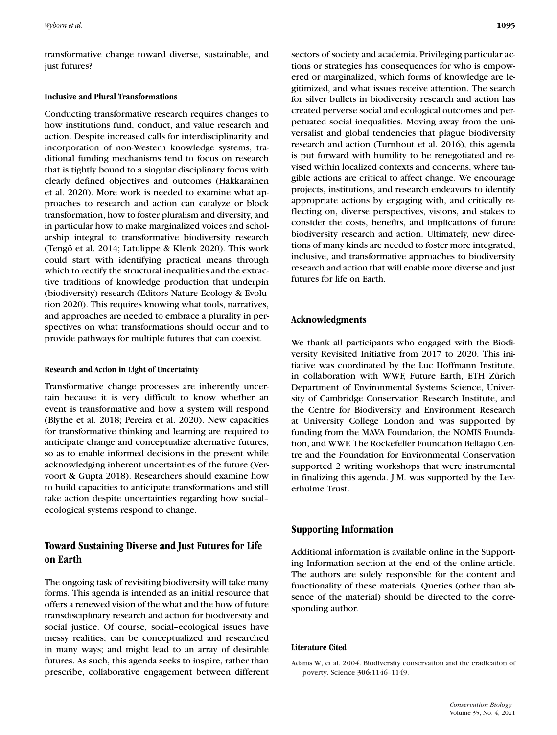transformative change toward diverse, sustainable, and just futures?

#### **Inclusive and Plural Transformations**

Conducting transformative research requires changes to how institutions fund, conduct, and value research and action. Despite increased calls for interdisciplinarity and incorporation of non-Western knowledge systems, traditional funding mechanisms tend to focus on research that is tightly bound to a singular disciplinary focus with clearly defined objectives and outcomes (Hakkarainen et al. 2020). More work is needed to examine what approaches to research and action can catalyze or block transformation, how to foster pluralism and diversity, and in particular how to make marginalized voices and scholarship integral to transformative biodiversity research (Tengö et al. 2014; Latulippe & Klenk 2020). This work could start with identifying practical means through which to rectify the structural inequalities and the extractive traditions of knowledge production that underpin (biodiversity) research (Editors Nature Ecology & Evolution 2020). This requires knowing what tools, narratives, and approaches are needed to embrace a plurality in perspectives on what transformations should occur and to provide pathways for multiple futures that can coexist.

#### **Research and Action in Light of Uncertainty**

Transformative change processes are inherently uncertain because it is very difficult to know whether an event is transformative and how a system will respond (Blythe et al. 2018; Pereira et al. 2020). New capacities for transformative thinking and learning are required to anticipate change and conceptualize alternative futures, so as to enable informed decisions in the present while acknowledging inherent uncertainties of the future (Vervoort & Gupta 2018). Researchers should examine how to build capacities to anticipate transformations and still take action despite uncertainties regarding how social– ecological systems respond to change.

## **Toward Sustaining Diverse and Just Futures for Life on Earth**

The ongoing task of revisiting biodiversity will take many forms. This agenda is intended as an initial resource that offers a renewed vision of the what and the how of future transdisciplinary research and action for biodiversity and social justice. Of course, social–ecological issues have messy realities; can be conceptualized and researched in many ways; and might lead to an array of desirable futures. As such, this agenda seeks to inspire, rather than prescribe, collaborative engagement between different sectors of society and academia. Privileging particular actions or strategies has consequences for who is empowered or marginalized, which forms of knowledge are legitimized, and what issues receive attention. The search for silver bullets in biodiversity research and action has created perverse social and ecological outcomes and perpetuated social inequalities. Moving away from the universalist and global tendencies that plague biodiversity research and action (Turnhout et al. 2016), this agenda is put forward with humility to be renegotiated and revised within localized contexts and concerns, where tangible actions are critical to affect change. We encourage projects, institutions, and research endeavors to identify appropriate actions by engaging with, and critically reflecting on, diverse perspectives, visions, and stakes to consider the costs, benefits, and implications of future biodiversity research and action. Ultimately, new directions of many kinds are needed to foster more integrated, inclusive, and transformative approaches to biodiversity research and action that will enable more diverse and just futures for life on Earth.

## **Acknowledgments**

We thank all participants who engaged with the Biodiversity Revisited Initiative from 2017 to 2020. This initiative was coordinated by the Luc Hoffmann Institute, in collaboration with WWF, Future Earth, ETH Zürich Department of Environmental Systems Science, University of Cambridge Conservation Research Institute, and the Centre for Biodiversity and Environment Research at University College London and was supported by funding from the MAVA Foundation, the NOMIS Foundation, and WWF. The Rockefeller Foundation Bellagio Centre and the Foundation for Environmental Conservation supported 2 writing workshops that were instrumental in finalizing this agenda. J.M. was supported by the Leverhulme Trust.

## **Supporting Information**

Additional information is available online in the Supporting Information section at the end of the online article. The authors are solely responsible for the content and functionality of these materials. Queries (other than absence of the material) should be directed to the corresponding author.

#### **Literature Cited**

Adams W, et al. 2004. Biodiversity conservation and the eradication of poverty. Science **306:**1146–1149.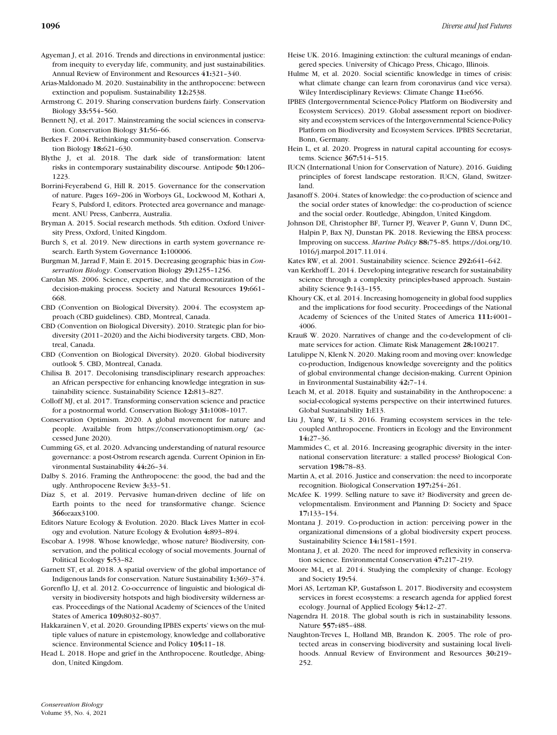- Agyeman J, et al. 2016. Trends and directions in environmental justice: from inequity to everyday life, community, and just sustainabilities. Annual Review of Environment and Resources **41:**321–340.
- Arias-Maldonado M. 2020. Sustainability in the anthropocene: between extinction and populism. Sustainability **12:**2538.
- Armstrong C. 2019. Sharing conservation burdens fairly. Conservation Biology **33:**554–560.
- Bennett NJ, et al. 2017. Mainstreaming the social sciences in conservation. Conservation Biology **31:**56–66.
- Berkes F. 2004. Rethinking community-based conservation. Conservation Biology **18:**621–630.
- Blythe J, et al. 2018. The dark side of transformation: latent risks in contemporary sustainability discourse. Antipode **50:**1206– 1223.
- Borrini-Feyerabend G, Hill R. 2015. Governance for the conservation of nature. Pages 169–206 in Worboys GL, Lockwood M, Kothari A, Feary S, Pulsford I, editors. Protected area governance and management. ANU Press, Canberra, Australia.
- Bryman A. 2015. Social research methods. 5th edition. Oxford University Press, Oxford, United Kingdom.
- Burch S, et al. 2019. New directions in earth system governance research. Earth System Governance **1:**100006.
- Burgman M, Jarrad F, Main E. 2015. Decreasing geographic bias in *Conservation Biology*. Conservation Biology **29:**1255–1256.
- Carolan MS. 2006. Science, expertise, and the democratization of the decision-making process. Society and Natural Resources **19:**661– 668.
- CBD (Convention on Biological Diversity). 2004. The ecosystem approach (CBD guidelines). CBD, Montreal, Canada.
- CBD (Convention on Biological Diversity). 2010. Strategic plan for biodiversity (2011–2020) and the Aichi biodiversity targets. CBD, Montreal, Canada.
- CBD (Convention on Biological Diversity). 2020. Global biodiversity outlook 5. CBD, Montreal, Canada.
- Chilisa B. 2017. Decolonising transdisciplinary research approaches: an African perspective for enhancing knowledge integration in sustainability science. Sustainability Science **12:**813–827.
- Colloff MJ, et al. 2017. Transforming conservation science and practice for a postnormal world. Conservation Biology **31:**1008–1017.
- Conservation Optimism. 2020. A global movement for nature and people. Available from<https://conservationoptimism.org/> (accessed June 2020).
- Cumming GS, et al. 2020. Advancing understanding of natural resource governance: a post-Ostrom research agenda. Current Opinion in Environmental Sustainability **44:**26–34.
- Dalby S. 2016. Framing the Anthropocene: the good, the bad and the ugly. Anthropocene Review **3:**33–51.
- Díaz S, et al. 2019. Pervasive human-driven decline of life on Earth points to the need for transformative change. Science **366:**eaax3100.
- Editors Nature Ecology & Evolution. 2020. Black Lives Matter in ecology and evolution. Nature Ecology & Evolution **4:**893–894.
- Escobar A. 1998. Whose knowledge, whose nature? Biodiversity, conservation, and the political ecology of social movements. Journal of Political Ecology **5:**53–82.
- Garnett ST, et al. 2018. A spatial overview of the global importance of Indigenous lands for conservation. Nature Sustainability **1:**369–374.
- Gorenflo LJ, et al. 2012. Co-occurrence of linguistic and biological diversity in biodiversity hotspots and high biodiversity wilderness areas. Proceedings of the National Academy of Sciences of the United States of America **109:**8032–8037.
- Hakkarainen V, et al. 2020. Grounding IPBES experts' views on the multiple values of nature in epistemology, knowledge and collaborative science. Environmental Science and Policy **105:**11–18.
- Head L. 2018. Hope and grief in the Anthropocene. Routledge, Abingdon, United Kingdom.
- Heise UK. 2016. Imagining extinction: the cultural meanings of endangered species. University of Chicago Press, Chicago, Illinois.
- Hulme M, et al. 2020. Social scientific knowledge in times of crisis: what climate change can learn from coronavirus (and vice versa). Wiley Interdisciplinary Reviews: Climate Change **11:**e656.
- IPBES (Intergovernmental Science-Policy Platform on Biodiversity and Ecosystem Services). 2019. Global assessment report on biodiversity and ecosystem services of the Intergovernmental Science-Policy Platform on Biodiversity and Ecosystem Services. IPBES Secretariat, Bonn, Germany.
- Hein L, et al. 2020. Progress in natural capital accounting for ecosystems. Science **367:**514–515.
- IUCN (International Union for Conservation of Nature). 2016. Guiding principles of forest landscape restoration. IUCN, Gland, Switzerland.
- Jasanoff S. 2004. States of knowledge: the co-production of science and the social order states of knowledge: the co-production of science and the social order. Routledge, Abingdon, United Kingdom.
- Johnson DE, Christopher BF, Turner PJ, Weaver P, Gunn V, Dunn DC, Halpin P, Bax NJ, Dunstan PK. 2018. Reviewing the EBSA process: Improving on success. *Marine Policy* **88:**75–85. [https://doi.org/10.](https://doi.org/10.1016/j.marpol.2017.11.014) [1016/j.marpol.2017.11.014.](https://doi.org/10.1016/j.marpol.2017.11.014)
- Kates RW, et al. 2001. Sustainability science. Science **292:**641–642.
- van Kerkhoff L. 2014. Developing integrative research for sustainability science through a complexity principles-based approach. Sustainability Science **9:**143–155.
- Khoury CK, et al. 2014. Increasing homogeneity in global food supplies and the implications for food security. Proceedings of the National Academy of Sciences of the United States of America **111:**4001– 4006.
- Krauß W. 2020. Narratives of change and the co-development of climate services for action. Climate Risk Management **28:**100217.
- Latulippe N, Klenk N. 2020. Making room and moving over: knowledge co-production, Indigenous knowledge sovereignty and the politics of global environmental change decision-making. Current Opinion in Environmental Sustainability **42:**7–14.
- Leach M, et al. 2018. Equity and sustainability in the Anthropocene: a social-ecological systems perspective on their intertwined futures. Global Sustainability **1:**E13.
- Liu J, Yang W, Li S. 2016. Framing ecosystem services in the telecoupled Anthropocene. Frontiers in Ecology and the Environment **14:**27–36.
- Mammides C, et al. 2016. Increasing geographic diversity in the international conservation literature: a stalled process? Biological Conservation **198:**78–83.
- Martin A, et al. 2016. Justice and conservation: the need to incorporate recognition. Biological Conservation **197:**254–261.
- McAfee K. 1999. Selling nature to save it? Biodiversity and green developmentalism. Environment and Planning D: Society and Space **17:**133–154.
- Montana J. 2019. Co-production in action: perceiving power in the organizational dimensions of a global biodiversity expert process. Sustainability Science **14:**1581–1591.
- Montana J, et al. 2020. The need for improved reflexivity in conservation science. Environmental Conservation **47:**217–219.
- Moore M-L, et al. 2014. Studying the complexity of change. Ecology and Society **19:**54.
- Mori AS, Lertzman KP, Gustafsson L. 2017. Biodiversity and ecosystem services in forest ecosystems: a research agenda for applied forest ecology. Journal of Applied Ecology **54:**12–27.
- Nagendra H. 2018. The global south is rich in sustainability lessons. Nature **557:**485–488.
- Naughton-Treves L, Holland MB, Brandon K. 2005. The role of protected areas in conserving biodiversity and sustaining local livelihoods. Annual Review of Environment and Resources **30:**219– 252.